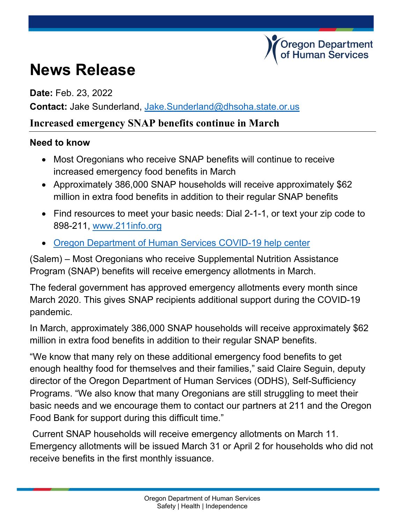## **regon Department** Human Services

# **News Release**

**Date:** Feb. 23, 2022

**Contact:** Jake Sunderland, [Jake.Sunderland@dhsoha.state.or.us](mailto:Jake.Sunderland@dhsoha.state.or.us)

#### **Increased emergency SNAP benefits continue in March**

#### **Need to know**

- Most Oregonians who receive SNAP benefits will continue to receive increased emergency food benefits in March
- Approximately 386,000 SNAP households will receive approximately \$62 million in extra food benefits in addition to their regular SNAP benefits
- Find resources to meet your basic needs: Dial 2-1-1, or text your zip code to 898-211, [www.211info.org](http://www.211info.org/)
- [Oregon Department of Human Services COVID-19 help center](https://www.oregon.gov/dhs/Pages/COVID-19.aspx)

(Salem) – Most Oregonians who receive Supplemental Nutrition Assistance Program (SNAP) benefits will receive emergency allotments in March.

The federal government has approved emergency allotments every month since March 2020. This gives SNAP recipients additional support during the COVID-19 pandemic.

In March, approximately 386,000 SNAP households will receive approximately \$62 million in extra food benefits in addition to their regular SNAP benefits.

"We know that many rely on these additional emergency food benefits to get enough healthy food for themselves and their families," said Claire Seguin, deputy director of the Oregon Department of Human Services (ODHS), Self-Sufficiency Programs. "We also know that many Oregonians are still struggling to meet their basic needs and we encourage them to contact our partners at 211 and the Oregon Food Bank for support during this difficult time."

Current SNAP households will receive emergency allotments on March 11. Emergency allotments will be issued March 31 or April 2 for households who did not receive benefits in the first monthly issuance.